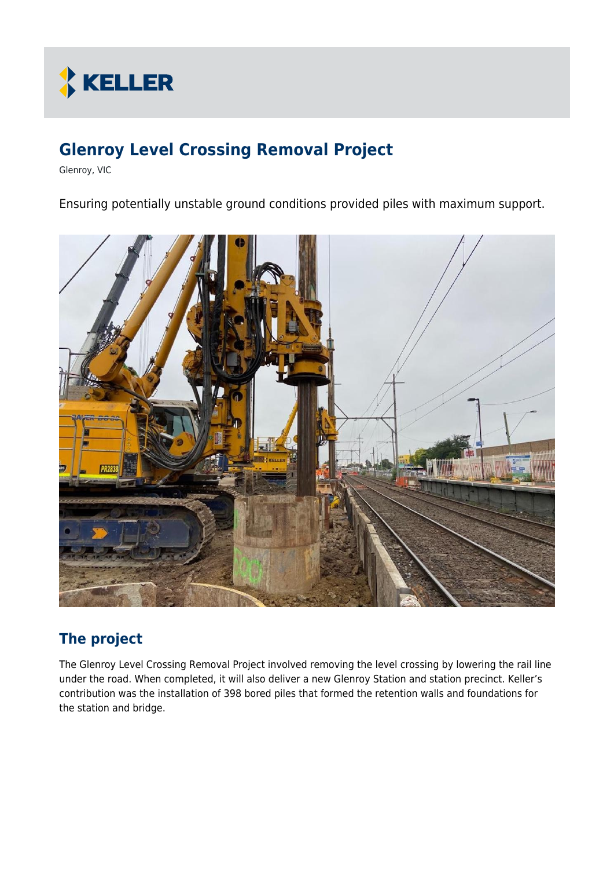

# **Glenroy Level Crossing Removal Project**

Glenroy, VIC

Ensuring potentially unstable ground conditions provided piles with maximum support.



## **The project**

The Glenroy Level Crossing Removal Project involved removing the level crossing by lowering the rail line under the road. When completed, it will also deliver a new Glenroy Station and station precinct. Keller's contribution was the installation of 398 bored piles that formed the retention walls and foundations for the station and bridge.